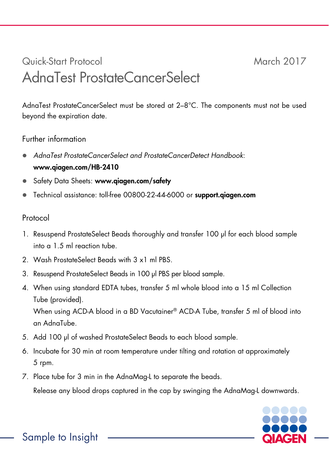## Quick-Start Protocol March 2017 AdnaTest ProstateCancerSelect

AdnaTest ProstateCancerSelect must be stored at 2–8°C. The components must not be used beyond the expiration date.

## Further information

- AdnaTest ProstateCancerSelect and ProstateCancerDetect Handbook: www.qiagen.com/HB-2410
- Safety Data Sheets: www.qiagen.com/safety
- Technical assistance: toll-free 00800-22-44-6000 or support.qiagen.com

## Protocol

- 1. Resuspend ProstateSelect Beads thoroughly and transfer 100 μl for each blood sample into a 1.5 ml reaction tube.
- 2. Wash ProstateSelect Beads with 3 x1 ml PBS.
- 3. Resuspend ProstateSelect Beads in 100 μl PBS per blood sample.
- 4. When using standard EDTA tubes, transfer 5 ml whole blood into a 15 ml Collection Tube (provided). When using ACD-A blood in a BD Vacutainer® ACD-A Tube, transfer 5 ml of blood into an AdnaTube.
- 5. Add 100 μl of washed ProstateSelect Beads to each blood sample.
- 6. Incubate for 30 min at room temperature under tilting and rotation at approximately 5 rpm.
- 7. Place tube for 3 min in the AdnaMag-L to separate the beads.

Release any blood drops captured in the cap by swinging the AdnaMag-L downwards.